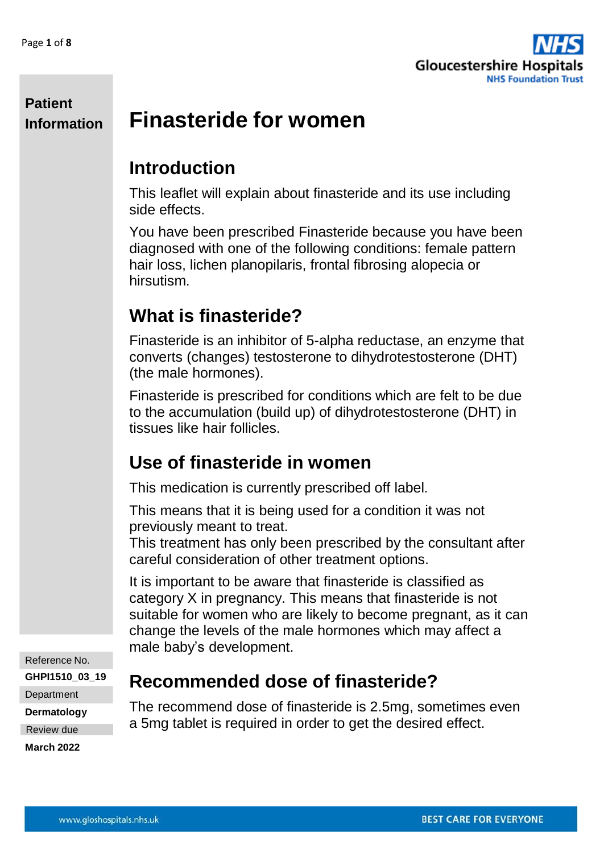

#### **Patient Information Finasteride for women**

### **Introduction**

This leaflet will explain about finasteride and its use including side effects.

You have been prescribed Finasteride because you have been diagnosed with one of the following conditions: female pattern hair loss, lichen planopilaris, frontal fibrosing alopecia or hirsutism.

### **What is finasteride?**

Finasteride is an inhibitor of 5-alpha reductase, an enzyme that converts (changes) testosterone to dihydrotestosterone (DHT) (the male hormones).

Finasteride is prescribed for conditions which are felt to be due to the accumulation (build up) of dihydrotestosterone (DHT) in tissues like hair follicles.

### **Use of finasteride in women**

This medication is currently prescribed off label.

This means that it is being used for a condition it was not previously meant to treat.

This treatment has only been prescribed by the consultant after careful consideration of other treatment options.

It is important to be aware that finasteride is classified as category X in pregnancy. This means that finasteride is not suitable for women who are likely to become pregnant, as it can change the levels of the male hormones which may affect a male baby's development.

Reference No.

**GHPI1510\_03\_19**

**Department** 

**Dermatology**

Review due

**March 2022**

### **Recommended dose of finasteride?**

The recommend dose of finasteride is 2.5mg, sometimes even a 5mg tablet is required in order to get the desired effect.